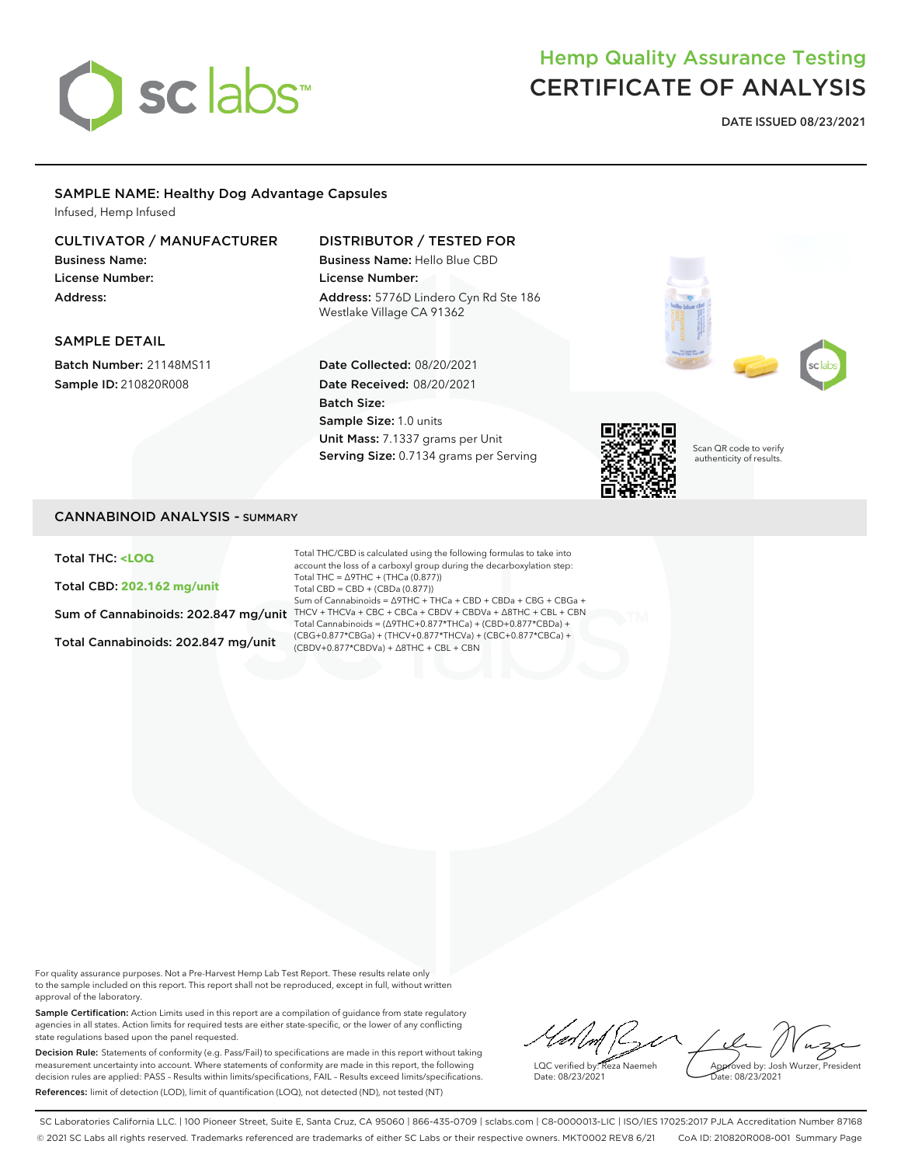

# Hemp Quality Assurance Testing CERTIFICATE OF ANALYSIS

**DATE ISSUED 08/23/2021**

## SAMPLE NAME: Healthy Dog Advantage Capsules

Infused, Hemp Infused

## CULTIVATOR / MANUFACTURER

Business Name: License Number: Address:

## DISTRIBUTOR / TESTED FOR

Business Name: Hello Blue CBD License Number: Address: 5776D Lindero Cyn Rd Ste 186 Westlake Village CA 91362

## SAMPLE DETAIL

Batch Number: 21148MS11 Sample ID: 210820R008

## Date Collected: 08/20/2021 Date Received: 08/20/2021 Batch Size: Sample Size: 1.0 units Unit Mass: 7.1337 grams per Unit Serving Size: 0.7134 grams per Serving



Scan QR code to verify authenticity of results.

## CANNABINOID ANALYSIS - SUMMARY

Total THC: **<LOQ**

Total CBD: **202.162 mg/unit**

Total Cannabinoids: 202.847 mg/unit

Sum of Cannabinoids: 202.847 mg/unit THCV + THCVa + CBC + CBCa + CBDV + CBDVa +  $\Delta$ 8THC + CBL + CBN Total THC/CBD is calculated using the following formulas to take into account the loss of a carboxyl group during the decarboxylation step: Total THC =  $\triangle$ 9THC + (THCa (0.877)) Total CBD = CBD + (CBDa (0.877)) Sum of Cannabinoids = ∆9THC + THCa + CBD + CBDa + CBG + CBGa + Total Cannabinoids = (∆9THC+0.877\*THCa) + (CBD+0.877\*CBDa) + (CBG+0.877\*CBGa) + (THCV+0.877\*THCVa) + (CBC+0.877\*CBCa) + (CBDV+0.877\*CBDVa) + ∆8THC + CBL + CBN

For quality assurance purposes. Not a Pre-Harvest Hemp Lab Test Report. These results relate only to the sample included on this report. This report shall not be reproduced, except in full, without written approval of the laboratory.

Sample Certification: Action Limits used in this report are a compilation of guidance from state regulatory agencies in all states. Action limits for required tests are either state-specific, or the lower of any conflicting state regulations based upon the panel requested.

Decision Rule: Statements of conformity (e.g. Pass/Fail) to specifications are made in this report without taking measurement uncertainty into account. Where statements of conformity are made in this report, the following decision rules are applied: PASS – Results within limits/specifications, FAIL – Results exceed limits/specifications. References: limit of detection (LOD), limit of quantification (LOQ), not detected (ND), not tested (NT)

 $\sim$ Approved by: Josh Wurzer, President LQC verified by: Reza Naemeh ate: 08/23/2021 Date: 08/23/2021

SC Laboratories California LLC. | 100 Pioneer Street, Suite E, Santa Cruz, CA 95060 | 866-435-0709 | sclabs.com | C8-0000013-LIC | ISO/IES 17025:2017 PJLA Accreditation Number 87168 © 2021 SC Labs all rights reserved. Trademarks referenced are trademarks of either SC Labs or their respective owners. MKT0002 REV8 6/21 CoA ID: 210820R008-001 Summary Page